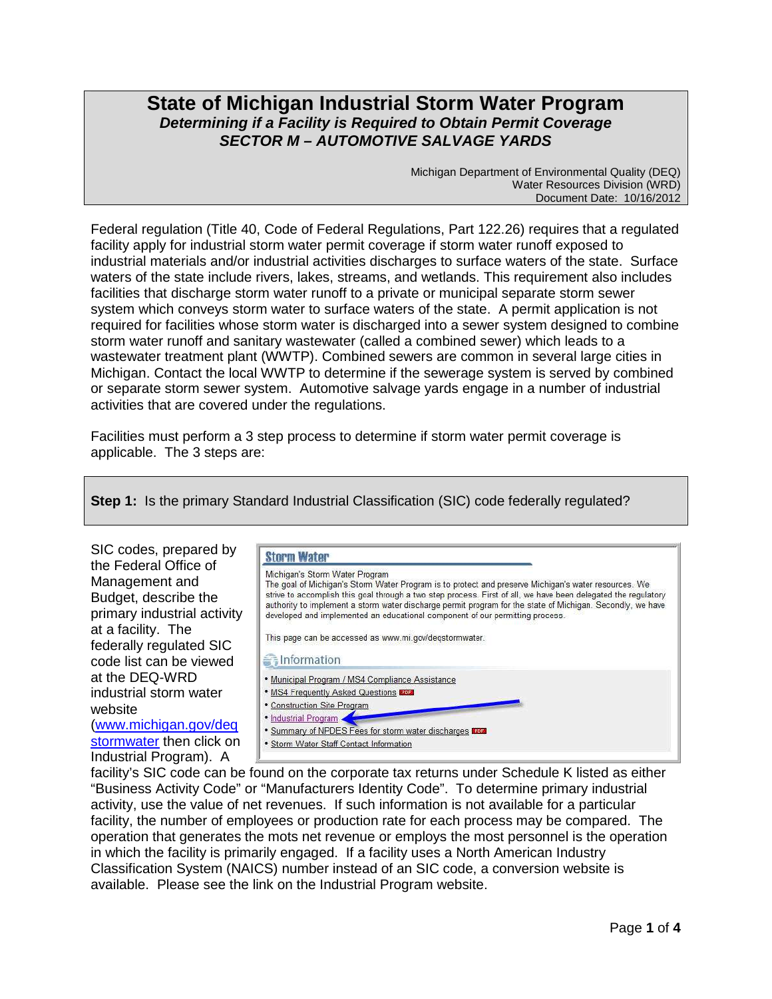# **State of Michigan Industrial Storm Water Program Determining if a Facility is Required to Obtain Permit Coverage SECTOR M – AUTOMOTIVE SALVAGE YARDS**

Michigan Department of Environmental Quality (DEQ) Water Resources Division (WRD) Document Date: 10/16/2012

Federal regulation (Title 40, Code of Federal Regulations, Part 122.26) requires that a regulated facility apply for industrial storm water permit coverage if storm water runoff exposed to industrial materials and/or industrial activities discharges to surface waters of the state. Surface waters of the state include rivers, lakes, streams, and wetlands. This requirement also includes facilities that discharge storm water runoff to a private or municipal separate storm sewer system which conveys storm water to surface waters of the state. A permit application is not required for facilities whose storm water is discharged into a sewer system designed to combine storm water runoff and sanitary wastewater (called a combined sewer) which leads to a wastewater treatment plant (WWTP). Combined sewers are common in several large cities in Michigan. Contact the local WWTP to determine if the sewerage system is served by combined or separate storm sewer system. Automotive salvage yards engage in a number of industrial activities that are covered under the regulations.

Facilities must perform a 3 step process to determine if storm water permit coverage is applicable. The 3 steps are:

**Step 1:** Is the primary Standard Industrial Classification (SIC) code federally regulated?



facility's SIC code can be found on the corporate tax returns under Schedule K listed as either "Business Activity Code" or "Manufacturers Identity Code". To determine primary industrial activity, use the value of net revenues. If such information is not available for a particular facility, the number of employees or production rate for each process may be compared. The operation that generates the mots net revenue or employs the most personnel is the operation in which the facility is primarily engaged. If a facility uses a North American Industry Classification System (NAICS) number instead of an SIC code, a conversion website is available. Please see the link on the Industrial Program website.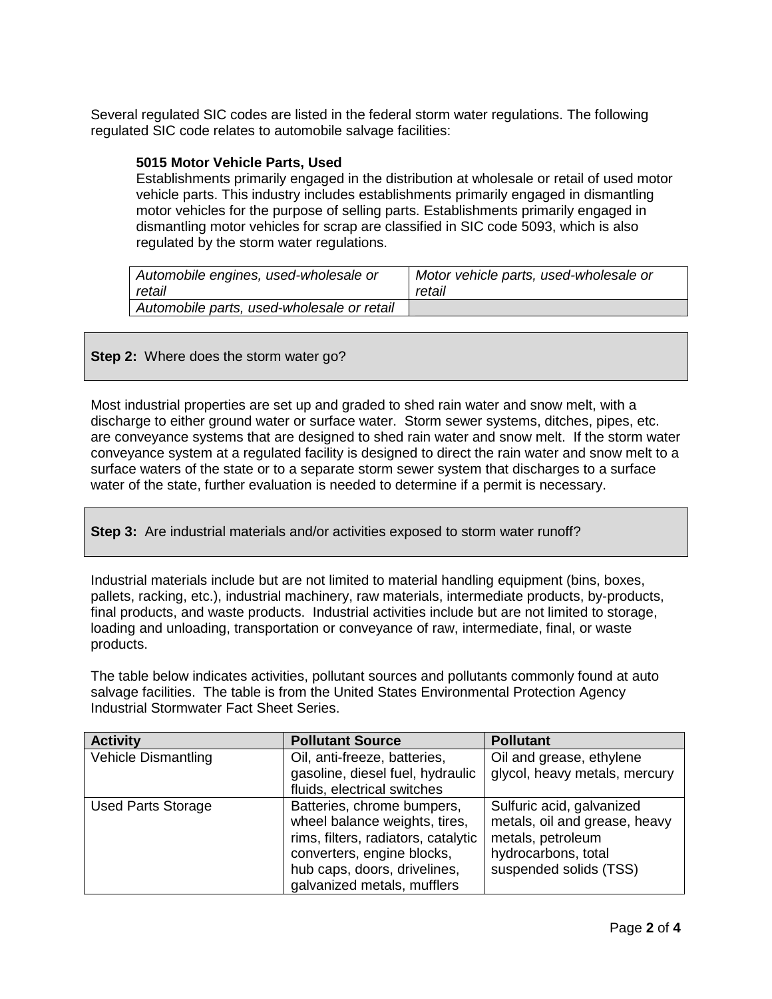Several regulated SIC codes are listed in the federal storm water regulations. The following regulated SIC code relates to automobile salvage facilities:

#### **5015 Motor Vehicle Parts, Used**

Establishments primarily engaged in the distribution at wholesale or retail of used motor vehicle parts. This industry includes establishments primarily engaged in dismantling motor vehicles for the purpose of selling parts. Establishments primarily engaged in dismantling motor vehicles for scrap are classified in SIC code 5093, which is also regulated by the storm water regulations.

| Automobile engines, used-wholesale or      | Motor vehicle parts, used-wholesale or |
|--------------------------------------------|----------------------------------------|
| retail                                     | retail                                 |
| Automobile parts, used-wholesale or retail |                                        |

**Step 2:** Where does the storm water go?

Most industrial properties are set up and graded to shed rain water and snow melt, with a discharge to either ground water or surface water. Storm sewer systems, ditches, pipes, etc. are conveyance systems that are designed to shed rain water and snow melt. If the storm water conveyance system at a regulated facility is designed to direct the rain water and snow melt to a surface waters of the state or to a separate storm sewer system that discharges to a surface water of the state, further evaluation is needed to determine if a permit is necessary.

**Step 3:** Are industrial materials and/or activities exposed to storm water runoff?

Industrial materials include but are not limited to material handling equipment (bins, boxes, pallets, racking, etc.), industrial machinery, raw materials, intermediate products, by-products, final products, and waste products. Industrial activities include but are not limited to storage, loading and unloading, transportation or conveyance of raw, intermediate, final, or waste products.

The table below indicates activities, pollutant sources and pollutants commonly found at auto salvage facilities. The table is from the United States Environmental Protection Agency Industrial Stormwater Fact Sheet Series.

| <b>Activity</b>            | <b>Pollutant Source</b>                                                                                                                                                                         | <b>Pollutant</b>                                                                                                                 |
|----------------------------|-------------------------------------------------------------------------------------------------------------------------------------------------------------------------------------------------|----------------------------------------------------------------------------------------------------------------------------------|
| <b>Vehicle Dismantling</b> | Oil, anti-freeze, batteries,                                                                                                                                                                    | Oil and grease, ethylene                                                                                                         |
|                            | gasoline, diesel fuel, hydraulic                                                                                                                                                                | glycol, heavy metals, mercury                                                                                                    |
|                            | fluids, electrical switches                                                                                                                                                                     |                                                                                                                                  |
| <b>Used Parts Storage</b>  | Batteries, chrome bumpers,<br>wheel balance weights, tires,<br>rims, filters, radiators, catalytic<br>converters, engine blocks,<br>hub caps, doors, drivelines,<br>galvanized metals, mufflers | Sulfuric acid, galvanized<br>metals, oil and grease, heavy<br>metals, petroleum<br>hydrocarbons, total<br>suspended solids (TSS) |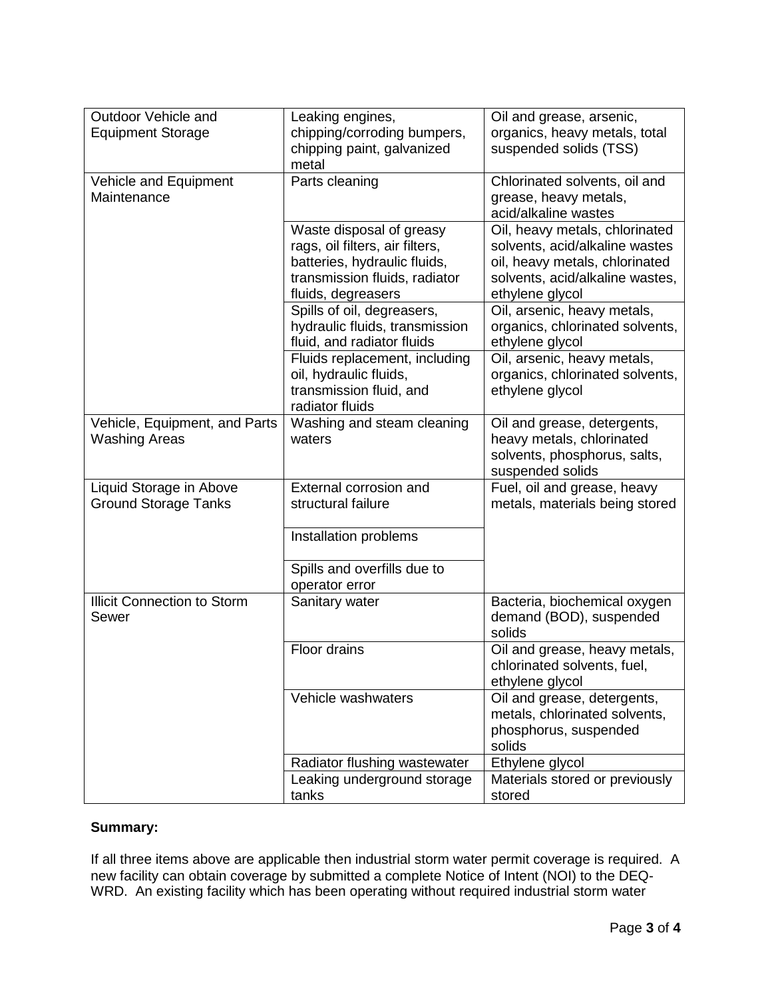| Outdoor Vehicle and                                    | Leaking engines,                                                                                                                                   | Oil and grease, arsenic,                                                                                                                                 |
|--------------------------------------------------------|----------------------------------------------------------------------------------------------------------------------------------------------------|----------------------------------------------------------------------------------------------------------------------------------------------------------|
| <b>Equipment Storage</b>                               | chipping/corroding bumpers,<br>chipping paint, galvanized                                                                                          | organics, heavy metals, total<br>suspended solids (TSS)                                                                                                  |
|                                                        | metal                                                                                                                                              |                                                                                                                                                          |
| Vehicle and Equipment<br>Maintenance                   | Parts cleaning                                                                                                                                     | Chlorinated solvents, oil and<br>grease, heavy metals,<br>acid/alkaline wastes                                                                           |
|                                                        | Waste disposal of greasy<br>rags, oil filters, air filters,<br>batteries, hydraulic fluids,<br>transmission fluids, radiator<br>fluids, degreasers | Oil, heavy metals, chlorinated<br>solvents, acid/alkaline wastes<br>oil, heavy metals, chlorinated<br>solvents, acid/alkaline wastes,<br>ethylene glycol |
|                                                        | Spills of oil, degreasers,<br>hydraulic fluids, transmission<br>fluid, and radiator fluids                                                         | Oil, arsenic, heavy metals,<br>organics, chlorinated solvents,<br>ethylene glycol                                                                        |
|                                                        | Fluids replacement, including<br>oil, hydraulic fluids,<br>transmission fluid, and<br>radiator fluids                                              | Oil, arsenic, heavy metals,<br>organics, chlorinated solvents,<br>ethylene glycol                                                                        |
| Vehicle, Equipment, and Parts<br><b>Washing Areas</b>  | Washing and steam cleaning<br>waters                                                                                                               | Oil and grease, detergents,<br>heavy metals, chlorinated<br>solvents, phosphorus, salts,<br>suspended solids                                             |
| Liquid Storage in Above<br><b>Ground Storage Tanks</b> | External corrosion and<br>structural failure                                                                                                       | Fuel, oil and grease, heavy<br>metals, materials being stored                                                                                            |
|                                                        | Installation problems                                                                                                                              |                                                                                                                                                          |
|                                                        | Spills and overfills due to<br>operator error                                                                                                      |                                                                                                                                                          |
| <b>Illicit Connection to Storm</b><br>Sewer            | Sanitary water                                                                                                                                     | Bacteria, biochemical oxygen<br>demand (BOD), suspended<br>solids                                                                                        |
|                                                        | Floor drains                                                                                                                                       | Oil and grease, heavy metals,<br>chlorinated solvents, fuel,<br>ethylene glycol                                                                          |
|                                                        | Vehicle washwaters                                                                                                                                 | Oil and grease, detergents,<br>metals, chlorinated solvents,<br>phosphorus, suspended<br>solids                                                          |
|                                                        | Radiator flushing wastewater                                                                                                                       | Ethylene glycol                                                                                                                                          |
|                                                        | Leaking underground storage<br>tanks                                                                                                               | Materials stored or previously<br>stored                                                                                                                 |

## **Summary:**

If all three items above are applicable then industrial storm water permit coverage is required. A new facility can obtain coverage by submitted a complete Notice of Intent (NOI) to the DEQ-WRD. An existing facility which has been operating without required industrial storm water